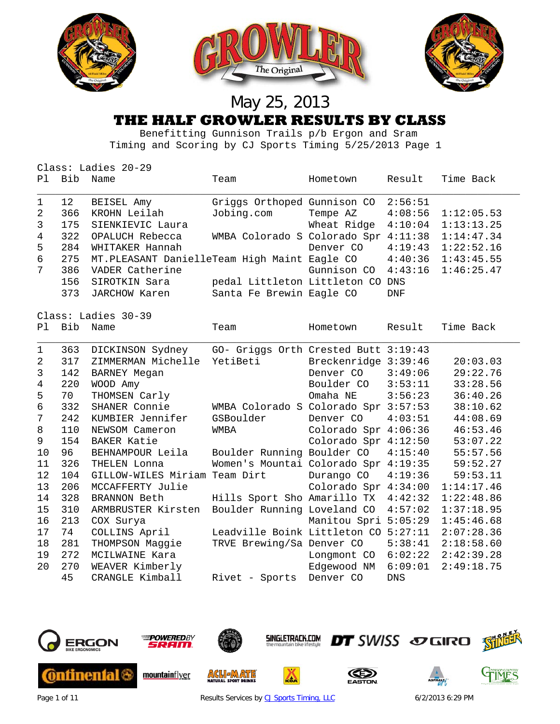

 Benefitting Gunnison Trails p/b Ergon and Sram Timing and Scoring by CJ Sports Timing 5/25/2013 Page 1

|                | Class: Ladies 20-29 |                                              |                                      |                      |            |            |  |  |  |
|----------------|---------------------|----------------------------------------------|--------------------------------------|----------------------|------------|------------|--|--|--|
| P1             | Bib                 | Name                                         | Team                                 | Hometown             | Result     | Time Back  |  |  |  |
| 1              | 12                  | BEISEL Amy                                   | Griggs Orthoped Gunnison CO          |                      | 2:56:51    |            |  |  |  |
| 2              | 366                 | KROHN Leilah                                 | Jobing.com                           | Tempe AZ             | 4:08:56    | 1:12:05.53 |  |  |  |
| 3              | 175                 | SIENKIEVIC Laura                             |                                      | Wheat Ridge          | 4:10:04    | 1:13:13.25 |  |  |  |
| 4              | 322                 | OPALUCH Rebecca                              | WMBA Colorado S Colorado Spr 4:11:38 |                      |            | 1:14:47.34 |  |  |  |
| 5              | 284                 | WHITAKER Hannah                              |                                      | Denver CO            | 4:19:43    | 1:22:52.16 |  |  |  |
| 6              | 275                 | MT.PLEASANT DanielleTeam High Maint Eagle CO |                                      |                      | 4:40:36    | 1:43:45.55 |  |  |  |
| 7              | 386                 | VADER Catherine                              |                                      | Gunnison CO          | 4:43:16    | 1:46:25.47 |  |  |  |
|                | 156                 | SIROTKIN Sara                                | pedal Littleton Littleton CO DNS     |                      |            |            |  |  |  |
|                | 373                 | JARCHOW Karen                                | Santa Fe Brewin Eagle CO             |                      | <b>DNF</b> |            |  |  |  |
|                | Class: Ladies 30-39 |                                              |                                      |                      |            |            |  |  |  |
| P1             | <b>Bib</b>          | Name                                         | Team                                 | Hometown             | Result     | Time Back  |  |  |  |
| 1              | 363                 | DICKINSON Sydney                             | GO- Griggs Orth Crested Butt 3:19:43 |                      |            |            |  |  |  |
| 2              | 317                 | ZIMMERMAN Michelle                           | YetiBeti                             | Breckenridge 3:39:46 |            | 20:03.03   |  |  |  |
| 3              | 142                 | BARNEY Megan                                 |                                      | Denver CO            | 3:49:06    | 29:22.76   |  |  |  |
| $\overline{4}$ | 220                 | WOOD Amy                                     |                                      | Boulder CO           | 3:53:11    | 33:28.56   |  |  |  |
| 5              | 70                  | THOMSEN Carly                                |                                      | Omaha NE             | 3:56:23    | 36:40.26   |  |  |  |
| 6              | 332                 | SHANER Connie                                | WMBA Colorado S Colorado Spr 3:57:53 |                      |            | 38:10.62   |  |  |  |
| 7              | 242                 | KUMBIER Jennifer                             | GSBoulder                            | Denver CO            | 4:03:51    | 44:08.69   |  |  |  |
| 8              | 110                 | NEWSOM Cameron                               | WMBA                                 | Colorado Spr 4:06:36 |            | 46:53.46   |  |  |  |
| 9              | 154                 | <b>BAKER Katie</b>                           |                                      | Colorado Spr 4:12:50 |            | 53:07.22   |  |  |  |
| 10             | 96                  | BEHNAMPOUR Leila                             | Boulder Running Boulder CO           |                      | 4:15:40    | 55:57.56   |  |  |  |
| 11             | 326                 | THELEN Lonna                                 | Women's Mountai Colorado Spr 4:19:35 |                      |            | 59:52.27   |  |  |  |
| 12             | 104                 | GILLOW-WILES Miriam Team Dirt                |                                      | Durango CO           | 4:19:36    | 59:53.11   |  |  |  |
| 13             | 206                 | MCCAFFERTY Julie                             |                                      | Colorado Spr 4:34:00 |            | 1:14:17.46 |  |  |  |
| 14             | 328                 | <b>BRANNON Beth</b>                          | Hills Sport Sho Amarillo TX          |                      | 4:42:32    | 1:22:48.86 |  |  |  |
| 15             | 310                 | ARMBRUSTER Kirsten                           | Boulder Running Loveland CO          |                      | 4:57:02    | 1:37:18.95 |  |  |  |
| 16             | 213                 | COX Surya                                    |                                      | Manitou Spri 5:05:29 |            | 1:45:46.68 |  |  |  |
| 17             | 74                  | COLLINS April                                | Leadville Boink Littleton CO 5:27:11 |                      |            | 2:07:28.36 |  |  |  |
| 18             | 281                 | THOMPSON Maggie                              | TRVE Brewing/Sa Denver CO            |                      | 5:38:41    | 2:18:58.60 |  |  |  |
| 19             | 272                 | MCILWAINE Kara                               |                                      | Longmont CO          | 6:02:22    | 2:42:39.28 |  |  |  |
| 20             | 270                 | WEAVER Kimberly                              |                                      | Edgewood NM          | 6:09:01    | 2:49:18.75 |  |  |  |
|                | 45                  | CRANGLE Kimball                              | Rivet - Sports                       | Denver CO            | <b>DNS</b> |            |  |  |  |



Page 1 of 11 **Page 1 of 11** Results Services by [CJ Sports Timing, LLC](http://www.cjtiming.com/) 6/2/2013 6:29 PM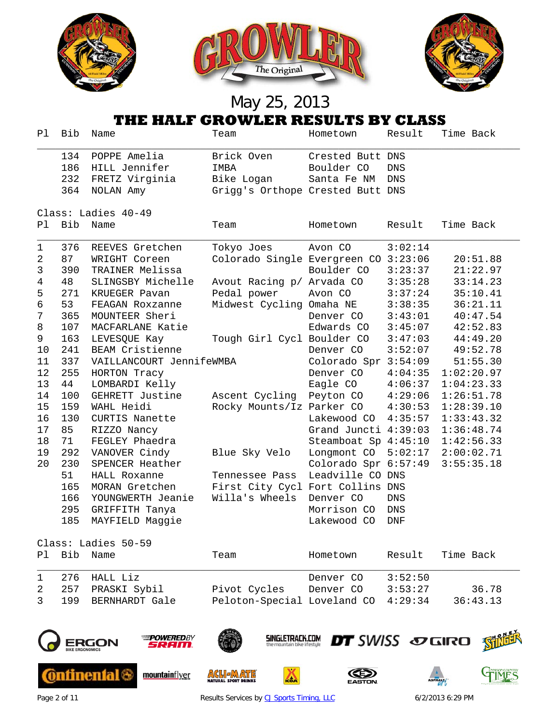

|                | THE HALF GROWLER RESULTS BY CLASS |                          |                                      |                      |            |            |  |  |
|----------------|-----------------------------------|--------------------------|--------------------------------------|----------------------|------------|------------|--|--|
| Pl.            | Bib                               | Name                     | Team                                 | Hometown             | Result     | Time Back  |  |  |
|                | 134                               | POPPE Amelia             | Brick Oven                           | Crested Butt DNS     |            |            |  |  |
|                | 186                               | HILL Jennifer            | IMBA                                 | Boulder CO           | DNS        |            |  |  |
|                | 232                               | FRETZ Virginia           | Bike Logan                           | Santa Fe NM          | DNS        |            |  |  |
|                | 364                               | NOLAN Amy                | Grigg's Orthope Crested Butt DNS     |                      |            |            |  |  |
|                |                                   | Class: Ladies 40-49      |                                      |                      |            |            |  |  |
| Pl             | Bib                               | Name                     | Team                                 | Hometown             | Result     | Time Back  |  |  |
| 1              | 376                               | REEVES Gretchen          | Tokyo Joes                           | Avon CO              | 3:02:14    |            |  |  |
| 2              | 87                                | WRIGHT Coreen            | Colorado Single Evergreen CO 3:23:06 |                      |            | 20:51.88   |  |  |
| 3              | 390                               | TRAINER Melissa          |                                      | Boulder CO           | 3:23:37    | 21:22.97   |  |  |
| 4              | 48                                | SLINGSBY Michelle        | Avout Racing p/ Arvada CO            |                      | 3:35:28    | 33:14.23   |  |  |
| 5              | 271                               | KRUEGER Pavan            | Pedal power                          | Avon CO              | 3:37:24    | 35:10.41   |  |  |
| 6              | 53                                | FEAGAN Roxzanne          | Midwest Cycling Omaha NE             |                      | 3:38:35    | 36:21.11   |  |  |
| $7\phantom{.}$ | 365                               | MOUNTEER Sheri           |                                      | Denver CO            | 3:43:01    | 40:47.54   |  |  |
| 8              | 107                               | MACFARLANE Katie         |                                      | Edwards CO           | 3:45:07    | 42:52.83   |  |  |
| 9              | 163                               | LEVESQUE Kay             | Tough Girl Cycl Boulder CO           |                      | 3:47:03    | 44:49.20   |  |  |
| 10             | 241                               | BEAM Cristienne          |                                      | Denver CO            | 3:52:07    | 49:52.78   |  |  |
| 11             | 337                               | VAILLANCOURT JennifeWMBA |                                      | Colorado Spr 3:54:09 |            | 51:55.30   |  |  |
| 12             | 255                               | HORTON Tracy             |                                      | Denver CO            | 4:04:35    | 1:02:20.97 |  |  |
| 13             | 44                                | LOMBARDI Kelly           |                                      | Eagle CO             | 4:06:37    | 1:04:23.33 |  |  |
| 14             | 100                               | GEHRETT Justine          | Ascent Cycling                       | Peyton CO            | 4:29:06    | 1:26:51.78 |  |  |
| 15             | 159                               | WAHL Heidi               | Rocky Mounts/Iz Parker CO            |                      | 4:30:53    | 1:28:39.10 |  |  |
| 16             | 130                               | CURTIS Nanette           |                                      | Lakewood CO          | 4:35:57    | 1:33:43.32 |  |  |
| 17             | 85                                | RIZZO Nancy              |                                      | Grand Juncti 4:39:03 |            | 1:36:48.74 |  |  |
| 18             | 71                                | FEGLEY Phaedra           |                                      | Steamboat Sp 4:45:10 |            | 1:42:56.33 |  |  |
| 19             | 292                               | VANOVER Cindy            | Blue Sky Velo                        | Longmont CO          | 5:02:17    | 2:00:02.71 |  |  |
| 20             | 230                               | SPENCER Heather          |                                      | Colorado Spr 6:57:49 |            | 3:55:35.18 |  |  |
|                | 51                                | HALL Roxanne             | Tennessee Pass                       | Leadville CO DNS     |            |            |  |  |
|                | 165                               | MORAN Gretchen           | First City Cycl Fort Collins DNS     |                      |            |            |  |  |
|                | 166                               | YOUNGWERTH Jeanie        | Willa's Wheels                       | Denver CO            | DNS        |            |  |  |
|                | 295                               | GRIFFITH Tanya           |                                      | Morrison CO          | DNS        |            |  |  |
|                | 185                               | MAYFIELD Maggie          |                                      | Lakewood CO          | <b>DNF</b> |            |  |  |
|                |                                   | Class: Ladies 50-59      |                                      |                      |            |            |  |  |
| Ρl             | Bib                               | Name                     | Team                                 | Hometown             | Result     | Time Back  |  |  |
| 1              | 276                               | HALL Liz                 |                                      | Denver CO            | 3:52:50    |            |  |  |
| 2              | 257                               | PRASKI Sybil             | Pivot Cycles                         | Denver CO            | 3:53:27    | 36.78      |  |  |



**ERGON** 

**Continental &** 



mountainflyer



**ACLIEMATE** 

**SINGLETRACK.COM** 

◬





Page 2 of 11 **Results Services by [CJ Sports Timing, LLC](http://www.cjtiming.com/)** 6/2/2013 6:29 PM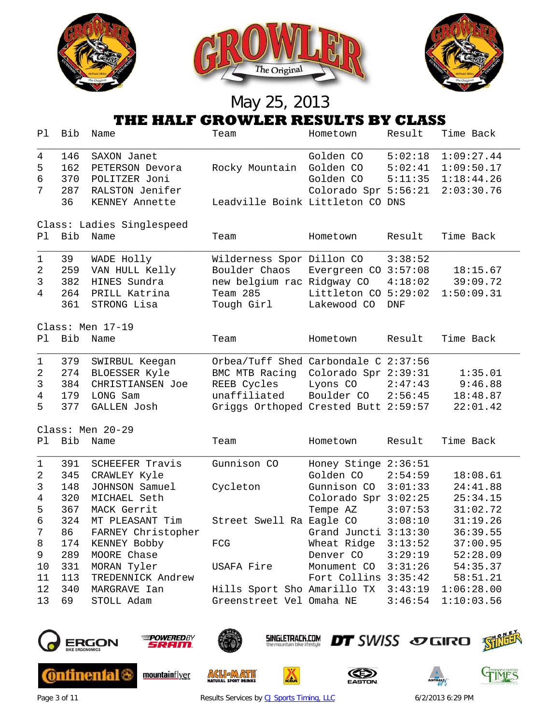

|                | THE HALF GROWLER RESULTS BY CLASS |                           |                                                |                      |            |                        |  |  |  |
|----------------|-----------------------------------|---------------------------|------------------------------------------------|----------------------|------------|------------------------|--|--|--|
| Pl             | Bib                               | Name                      | Team                                           | Hometown             | Result     | Time Back              |  |  |  |
| 4              | 146                               | SAXON Janet               |                                                | Golden CO            | 5:02:18    | 1:09:27.44             |  |  |  |
| 5              | 162                               | PETERSON Devora           | Rocky Mountain                                 | Golden CO            | 5:02:41    | 1:09:50.17             |  |  |  |
| 6              | 370                               | POLITZER Joni             |                                                | Golden CO            | 5:11:35    | 1:18:44.26             |  |  |  |
| 7              | 287                               | RALSTON Jenifer           |                                                | Colorado Spr 5:56:21 |            | 2:03:30.76             |  |  |  |
|                | 36                                | KENNEY Annette            | Leadville Boink Littleton CO DNS               |                      |            |                        |  |  |  |
|                |                                   | Class: Ladies Singlespeed |                                                |                      |            |                        |  |  |  |
| P1             | Bib                               | Name                      | Team                                           | Hometown             | Result     | Time Back              |  |  |  |
| $\mathbf 1$    | 39                                | WADE Holly                | Wilderness Spor Dillon CO                      |                      | 3:38:52    |                        |  |  |  |
| 2              | 259                               | VAN HULL Kelly            | Boulder Chaos                                  | Evergreen CO 3:57:08 |            | 18:15.67               |  |  |  |
| 3              | 382                               | HINES Sundra              | new belgium rac Ridgway CO                     |                      | 4:18:02    | 39:09.72               |  |  |  |
| 4              | 264                               | PRILL Katrina             | Team 285                                       | Littleton CO 5:29:02 |            | 1:50:09.31             |  |  |  |
|                | 361                               | STRONG Lisa               | Tough Girl                                     | Lakewood CO          | <b>DNF</b> |                        |  |  |  |
|                | Class: Men 17-19                  |                           |                                                |                      |            |                        |  |  |  |
| Pl             | Bib                               | Name                      | Team                                           | Hometown             | Result     | Time Back              |  |  |  |
| 1              | 379                               | SWIRBUL Keegan            | Orbea/Tuff Shed Carbondale C 2:37:56           |                      |            |                        |  |  |  |
| 2              | 274                               | BLOESSER Kyle             | BMC MTB Racing                                 | Colorado Spr 2:39:31 |            | 1:35.01                |  |  |  |
| 3              | 384                               | CHRISTIANSEN Joe          | REEB Cycles                                    | Lyons CO             | 2:47:43    | 9:46.88                |  |  |  |
| 4              | 179                               | LONG Sam                  | unaffiliated                                   | Boulder CO           | 2:56:45    | 18:48.87               |  |  |  |
| 5              | 377                               | GALLEN Josh               | Griggs Orthoped Crested Butt 2:59:57           |                      |            | 22:01.42               |  |  |  |
|                |                                   | Class: Men 20-29          |                                                |                      |            |                        |  |  |  |
| Pl             | Bib                               | Name                      | Team                                           | Hometown             | Result     | Time Back              |  |  |  |
| $1\,$          | 391                               | SCHEEFER Travis           | Gunnison CO                                    | Honey Stinge 2:36:51 |            |                        |  |  |  |
| 2              | 345                               | CRAWLEY Kyle              |                                                | Golden CO            | 2:54:59    | 18:08.61               |  |  |  |
| 3              | 148                               | JOHNSON Samuel            | Cycleton                                       | Gunnison CO          | 3:01:33    | 24:41.88               |  |  |  |
| $\overline{4}$ | 320                               | MICHAEL Seth              |                                                | Colorado Spr 3:02:25 |            | 25:34.15               |  |  |  |
| 5              | 367                               | MACK Gerrit               |                                                | Tempe AZ             | 3:07:53    | 31:02.72               |  |  |  |
| 6              | 324                               | MT PLEASANT Tim           | Street Swell Ra Eagle CO                       |                      | 3:08:10    | 31:19.26               |  |  |  |
| 7              | 86                                | FARNEY Christopher        |                                                | Grand Juncti 3:13:30 |            | 36:39.55               |  |  |  |
| 8              | 174                               | KENNEY Bobby              | FCG                                            | Wheat Ridge 3:13:52  |            | 37:00.95               |  |  |  |
| 9              | 289                               | MOORE Chase               |                                                | Denver CO 3:29:19    |            | 52:28.09               |  |  |  |
| 10             | 331                               | MORAN Tyler               | USAFA Fire                                     | Monument CO 3:31:26  |            | 54:35.37               |  |  |  |
| 11             | 113                               | TREDENNICK Andrew         |                                                | Fort Collins 3:35:42 |            | 58:51.21               |  |  |  |
| 12             | 340                               | MARGRAVE Ian              | Hills Sport Sho Amarillo TX 3:43:19 1:06:28.00 |                      |            |                        |  |  |  |
| 13             | 69                                | STOLL Adam                | Greenstreet Vel Omaha NE                       |                      |            | $3:46:54$ $1:10:03.56$ |  |  |  |



**Continental** 



mountainflyer



**ACL JAATE** 

**SINGLETRACK.COM** 

Ă





Page 3 of 11 **Results Services by [CJ Sports Timing, LLC](http://www.cjtiming.com/)** 6/2/2013 6:29 PM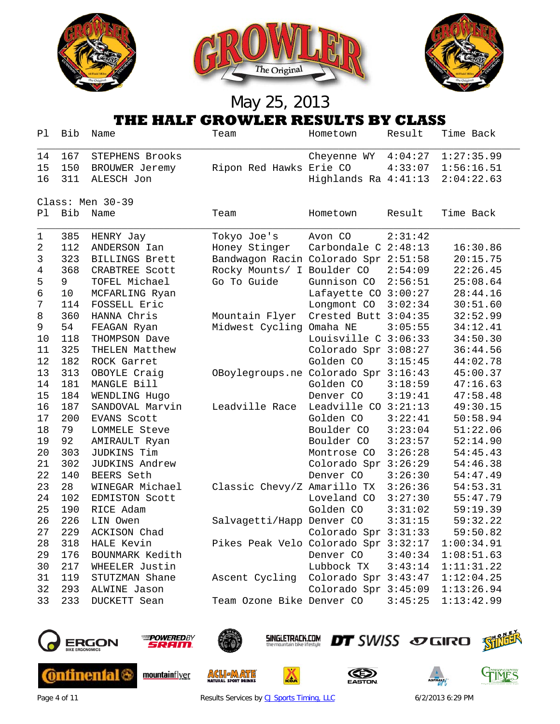





|                  | THE HALF GROWLER RESULTS BY CLASS |                       |                                                |                                 |         |                        |  |  |
|------------------|-----------------------------------|-----------------------|------------------------------------------------|---------------------------------|---------|------------------------|--|--|
| Ρl               | Bib                               | Name                  | Team                                           | Hometown                        | Result  | Time Back              |  |  |
| 14               | 167                               | STEPHENS Brooks       |                                                | Cheyenne WY $4:04:27$           |         | 1:27:35.99             |  |  |
| 15               | 150                               | BROUWER Jeremy        | Ripon Red Hawks Erie CO                        |                                 |         | $4:33:07$ $1:56:16.51$ |  |  |
| 16               | 311                               | ALESCH Jon            |                                                | Highlands Ra 4:41:13            |         | 2:04:22.63             |  |  |
| Class: Men 30-39 |                                   |                       |                                                |                                 |         |                        |  |  |
| P1               | Bib                               | Name                  | Team                                           | Hometown                        | Result  | Time Back              |  |  |
| 1                | 385                               | HENRY Jay             | Tokyo Joe's                                    | Avon CO                         | 2:31:42 |                        |  |  |
| 2                | 112                               | ANDERSON Ian          | Honey Stinger                                  | Carbondale C 2:48:13            |         | 16:30.86               |  |  |
| 3                | 323                               | <b>BILLINGS Brett</b> | Bandwagon Racin Colorado Spr 2:51:58           |                                 |         | 20:15.75               |  |  |
| 4                | 368                               | CRABTREE Scott        | Rocky Mounts/ I Boulder CO                     |                                 | 2:54:09 | 22:26.45               |  |  |
| 5                | 9                                 | TOFEL Michael         | Go To Guide                                    | Gunnison CO                     | 2:56:51 | 25:08.64               |  |  |
| 6                | 10                                | MCFARLING Ryan        |                                                | Lafayette CO 3:00:27            |         | 28:44.16               |  |  |
| 7                | 114                               | FOSSELL Eric          |                                                | Longmont CO                     | 3:02:34 | 30:51.60               |  |  |
| 8                | 360                               | HANNA Chris           | Mountain Flyer                                 | Crested Butt 3:04:35            |         | 32:52.99               |  |  |
| 9                | 54                                | FEAGAN Ryan           | Midwest Cycling Omaha NE                       |                                 | 3:05:55 | 34:12.41               |  |  |
| 10               | 118                               | THOMPSON Dave         |                                                | Louisville C 3:06:33            |         | 34:50.30               |  |  |
| 11               | 325                               | THELEN Matthew        |                                                | Colorado Spr 3:08:27            |         | 36:44.56               |  |  |
| 12               | 182                               | ROCK Garret           |                                                | Golden CO                       | 3:15:45 | 44:02.78               |  |  |
| 13               | 313                               | OBOYLE Craig          | OBoylegroups.ne Colorado Spr 3:16:43           |                                 |         | 45:00.37               |  |  |
| 14               | 181                               | MANGLE Bill           |                                                | Golden CO                       | 3:18:59 | 47:16.63               |  |  |
| 15               | 184                               | WENDLING Hugo         |                                                | Denver CO                       | 3:19:41 | 47:58.48               |  |  |
| 16               | 187                               | SANDOVAL Marvin       | Leadville Race                                 | Leadville CO 3:21:13            |         | 49:30.15               |  |  |
| 17               | 200                               | EVANS Scott           |                                                | Golden CO                       | 3:22:41 | 50:58.94               |  |  |
| 18               | 79                                | LOMMELE Steve         |                                                | Boulder CO                      | 3:23:04 | 51:22.06               |  |  |
| 19               | 92                                | AMIRAULT Ryan         |                                                | Boulder CO                      | 3:23:57 | 52:14.90               |  |  |
| 20               | 303                               | JUDKINS Tim           |                                                | Montrose CO                     | 3:26:28 | 54:45.43               |  |  |
| 21               | 302                               | JUDKINS Andrew        |                                                | Colorado Spr 3:26:29            |         | 54:46.38               |  |  |
| 22               | 140                               | BEERS Seth            |                                                | Denver CO                       | 3:26:30 | 54:47.49               |  |  |
| 23               | 28                                | WINEGAR Michael       | Classic Chevy/Z Amarillo TX                    |                                 | 3:26:36 | 54:53.31               |  |  |
| 24               | 102                               | EDMISTON Scott        |                                                | Loveland CO                     | 3:27:30 | 55:47.79               |  |  |
| 25               | 190                               | RICE Adam             |                                                | Golden CO                       | 3:31:02 | 59:19.39               |  |  |
| 26               | 226                               | LIN Owen              | Salvagetti/Happ Denver CO                      |                                 | 3:31:15 | 59:32.22               |  |  |
| 27               | 229                               | ACKISON Chad          |                                                | Colorado Spr 3:31:33            |         | 59:50.82               |  |  |
| 28               | 318                               | HALE Kevin            | Pikes Peak Velo Colorado Spr 3:32:17           |                                 |         | 1:00:34.91             |  |  |
| 29               | 176                               | BOUNMARK Kedith       |                                                | Denver $CO$ $3:40:34$           |         | 1:08:51.63             |  |  |
| 30               | 217                               | WHEELER Justin        |                                                | Lubbock TX 3:43:14 1:11:31.22   |         |                        |  |  |
| 31               | 119                               | STUTZMAN Shane        | Ascent Cycling Colorado Spr 3:43:47 1:12:04.25 |                                 |         |                        |  |  |
| 32               | 293                               | ALWINE Jason          |                                                | Colorado Spr 3:45:09 1:13:26.94 |         |                        |  |  |
| 33               | 233                               | DUCKETT Sean          | Team Ozone Bike Denver CO                      |                                 |         | $3:45:25$ $1:13:42.99$ |  |  |



**Continental** 



mountainflyer



**ACL JAATE** 



Ă





Page 4 of 11 **Results Services by [CJ Sports Timing, LLC](http://www.cjtiming.com/)** 6/2/2013 6:29 PM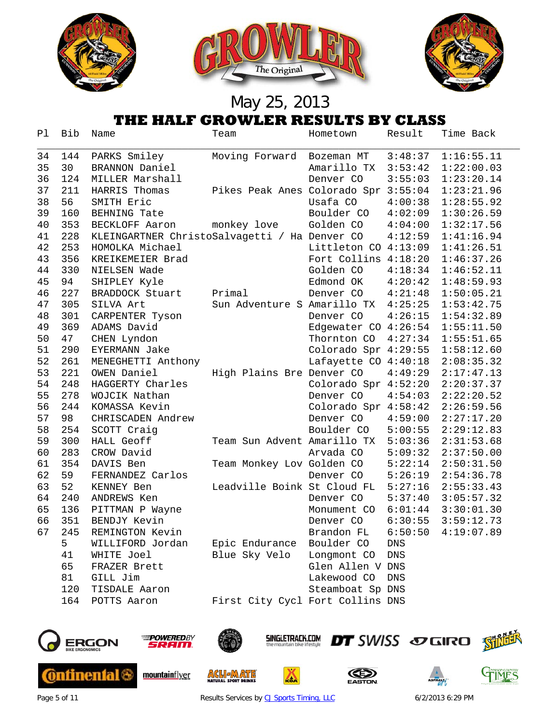

| Ρl | Bib | Name                                          | Team                                 | Hometown             | Result     | Time Back              |
|----|-----|-----------------------------------------------|--------------------------------------|----------------------|------------|------------------------|
| 34 | 144 | PARKS Smiley                                  | Moving Forward                       | Bozeman MT           | 3:48:37    | 1:16:55.11             |
| 35 | 30  | BRANNON Daniel                                |                                      | Amarillo TX          | 3:53:42    | 1:22:00.03             |
| 36 | 124 | MILLER Marshall                               |                                      | Denver CO            | 3:55:03    | 1:23:20.14             |
| 37 | 211 | HARRIS Thomas                                 | Pikes Peak Anes Colorado Spr 3:55:04 |                      |            | 1:23:21.96             |
| 38 | 56  | SMITH Eric                                    |                                      | Usafa CO             | 4:00:38    | 1:28:55.92             |
| 39 | 160 | <b>BEHNING Tate</b>                           |                                      | Boulder CO           | 4:02:09    | 1:30:26.59             |
| 40 | 353 | BECKLOFF Aaron                                | monkey love                          | Golden CO            | 4:04:00    | 1:32:17.56             |
| 41 | 228 | KLEINGARTNER ChristoSalvagetti / Ha Denver CO |                                      |                      | 4:12:59    | 1:41:16.94             |
| 42 | 253 | HOMOLKA Michael                               |                                      | Littleton CO 4:13:09 |            | 1:41:26.51             |
| 43 | 356 | KREIKEMEIER Brad                              |                                      | Fort Collins 4:18:20 |            | 1:46:37.26             |
| 44 | 330 | NIELSEN Wade                                  |                                      | Golden CO            | 4:18:34    | 1:46:52.11             |
| 45 | 94  | SHIPLEY Kyle                                  |                                      | Edmond OK            | 4:20:42    | 1:48:59.93             |
| 46 | 227 | BRADDOCK Stuart                               | Primal                               | Denver CO            | 4:21:48    | 1:50:05.21             |
| 47 | 305 | SILVA Art                                     | Sun Adventure S Amarillo TX          |                      | 4:25:25    | 1:53:42.75             |
| 48 | 301 | CARPENTER Tyson                               |                                      | Denver CO            | 4:26:15    | 1:54:32.89             |
| 49 | 369 | ADAMS David                                   |                                      | Edgewater CO 4:26:54 |            | 1:55:11.50             |
| 50 | 47  | CHEN Lyndon                                   |                                      | Thornton CO          | 4:27:34    | 1:55:51.65             |
| 51 | 290 | EYERMANN Jake                                 |                                      | Colorado Spr 4:29:55 |            | 1:58:12.60             |
| 52 | 261 | MENEGHETTI Anthony                            |                                      | Lafayette CO 4:40:18 |            | 2:08:35.32             |
| 53 | 221 | OWEN Daniel                                   | High Plains Bre Denver CO            |                      | 4:49:29    | 2:17:47.13             |
| 54 | 248 | HAGGERTY Charles                              |                                      | Colorado Spr 4:52:20 |            | 2:20:37.37             |
| 55 | 278 | WOJCIK Nathan                                 |                                      | Denver CO            | 4:54:03    | 2:22:20.52             |
| 56 | 244 | KOMASSA Kevin                                 |                                      | Colorado Spr 4:58:42 |            | 2:26:59.56             |
| 57 | 98  | CHRISCADEN Andrew                             |                                      | Denver CO            | 4:59:00    | 2:27:17.20             |
| 58 | 254 | SCOTT Craig                                   |                                      | Boulder CO           | 5:00:55    | 2:29:12.83             |
| 59 | 300 | HALL Geoff                                    | Team Sun Advent Amarillo TX          |                      | 5:03:36    | 2:31:53.68             |
| 60 | 283 | CROW David                                    |                                      | Arvada CO            | 5:09:32    | 2:37:50.00             |
| 61 | 354 | DAVIS Ben                                     | Team Monkey Lov Golden CO            |                      | 5:22:14    | 2:50:31.50             |
| 62 | 59  | FERNANDEZ Carlos                              |                                      | Denver CO            | 5:26:19    | 2:54:36.78             |
| 63 | 52  | KENNEY Ben                                    | Leadville Boink St Cloud FL          |                      |            | $5:27:16$ $2:55:33.43$ |
| 64 | 240 | ANDREWS Ken                                   |                                      | Denver CO            |            | $5:37:40$ $3:05:57.32$ |
| 65 | 136 | PITTMAN P Wayne                               |                                      | Monument CO          |            | $6:01:44$ $3:30:01.30$ |
| 66 | 351 | BENDJY Kevin                                  |                                      | Denver CO            | 6:30:55    | 3:59:12.73             |
| 67 | 245 | REMINGTON Kevin                               |                                      | Brandon FL           | 6:50:50    | 4:19:07.89             |
|    | 5   | WILLIFORD Jordan                              | Epic Endurance                       | Boulder CO           | DNS        |                        |
|    | 41  | WHITE Joel                                    | Blue Sky Velo                        | Longmont CO          | <b>DNS</b> |                        |
|    | 65  | FRAZER Brett                                  |                                      | Glen Allen V DNS     |            |                        |
|    | 81  | GILL Jim                                      |                                      | Lakewood CO          | <b>DNS</b> |                        |
|    | 120 | TISDALE Aaron                                 |                                      | Steamboat Sp DNS     |            |                        |
|    | 164 | POTTS Aaron                                   | First City Cycl Fort Collins DNS     |                      |            |                        |
|    |     |                                               |                                      |                      |            |                        |



**Continental &** 



mountainflyer



**ACLIEMATE** 

**SINGLETRACK.COM** 

厸





Page 5 of 11 **Results Services by [CJ Sports Timing, LLC](http://www.cjtiming.com/)** 6/2/2013 6:29 PM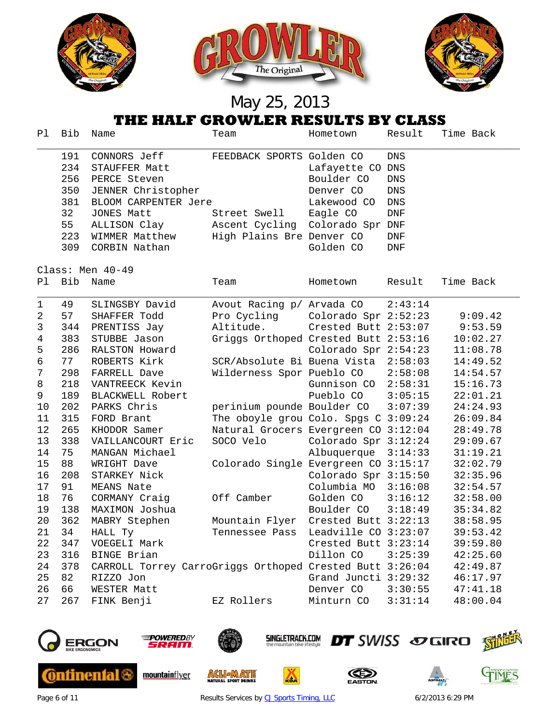

|                | THE HALF GROWLER RESULTS BY CLASS |                                                          |                                      |                        |            |           |  |  |
|----------------|-----------------------------------|----------------------------------------------------------|--------------------------------------|------------------------|------------|-----------|--|--|
| Pl             | Bib                               | Name                                                     | Team                                 | Hometown               | Result     | Time Back |  |  |
|                | 191                               | CONNORS Jeff                                             | FEEDBACK SPORTS Golden CO            |                        | DNS        |           |  |  |
|                | 234                               | STAUFFER Matt                                            |                                      | Lafayette CO DNS       |            |           |  |  |
|                | 256                               | PERCE Steven                                             |                                      | Boulder CO             | <b>DNS</b> |           |  |  |
|                | 350                               | JENNER Christopher                                       |                                      | Denver CO              | DNS        |           |  |  |
|                | 381                               | BLOOM CARPENTER Jere                                     |                                      | Lakewood CO            | DNS        |           |  |  |
|                | 32                                | JONES Matt                                               | Street Swell                         | Eagle CO               | DNF        |           |  |  |
|                | 55                                | ALLISON Clay                                             | Ascent Cycling                       | Colorado Spr DNF       |            |           |  |  |
|                | 223                               | WIMMER Matthew                                           | High Plains Bre Denver CO            |                        | DNF        |           |  |  |
|                | 309                               | CORBIN Nathan                                            |                                      | Golden CO              | <b>DNF</b> |           |  |  |
|                |                                   | Class: Men 40-49                                         |                                      |                        |            |           |  |  |
| Pl             | Bib                               | Name                                                     | Team                                 | Hometown               | Result     | Time Back |  |  |
| $\mathbf 1$    | 49                                | SLINGSBY David                                           | Avout Racing p/ Arvada CO            |                        | 2:43:14    |           |  |  |
| 2              | 57                                | SHAFFER Todd                                             | Pro Cycling Colorado Spr 2:52:23     |                        |            | 9:09.42   |  |  |
| 3              | 344                               | PRENTISS Jay                                             | Altitude.                            | Crested Butt 2:53:07   |            | 9:53.59   |  |  |
| $\overline{4}$ | 383                               | STUBBE Jason                                             | Griggs Orthoped Crested Butt 2:53:16 |                        |            | 10:02.27  |  |  |
| 5              | 286                               | RALSTON Howard                                           |                                      | Colorado Spr 2:54:23   |            | 11:08.78  |  |  |
| 6              | 77                                | ROBERTS Kirk                                             | SCR/Absolute Bi Buena Vista          |                        | 2:58:03    | 14:49.52  |  |  |
| 7              | 298                               | FARRELL Dave                                             | Wilderness Spor Pueblo CO            |                        | 2:58:08    | 14:54.57  |  |  |
| 8              | 218                               | VANTREECK Kevin                                          |                                      | Gunnison CO            | 2:58:31    | 15:16.73  |  |  |
| 9              | 189                               | BLACKWELL Robert                                         |                                      | Pueblo CO              | 3:05:15    | 22:01.21  |  |  |
| 10             | 202                               | PARKS Chris                                              | perinium pounde Boulder CO           |                        | 3:07:39    | 24:24.93  |  |  |
| 11             | 315                               | FORD Brant                                               | The oboyle grou Colo. Spgs C 3:09:24 |                        |            | 26:09.84  |  |  |
| 12             | 265                               | KHODOR Samer                                             | Natural Grocers Evergreen CO 3:12:04 |                        |            | 28:49.78  |  |  |
| 13             | 338                               | VAILLANCOURT Eric                                        | SOCO Velo                            | Colorado Spr 3:12:24   |            | 29:09.67  |  |  |
| 14             | 75                                | MANGAN Michael                                           |                                      | Albuquerque            | 3:14:33    | 31:19.21  |  |  |
| 15             | 88                                | WRIGHT Dave                                              | Colorado Single Evergreen CO 3:15:17 |                        |            | 32:02.79  |  |  |
| 16             | 208                               | STARKEY Nick                                             |                                      | Colorado Spr 3:15:50   |            | 32:35.96  |  |  |
| 17             | 91                                | MEANS Nate                                               |                                      | Columbia MO 3:16:08    |            | 32:54.57  |  |  |
| 18             | 76                                | CORMANY Craig                                            | Off Camber                           | Golden CO              | 3:16:12    | 32:58.00  |  |  |
| 19             | 138                               | MAXIMON Joshua                                           |                                      | Boulder CO             | 3:18:49    | 35:34.82  |  |  |
| 20             | 362                               | MABRY Stephen                                            | Mountain Flyer                       | Crested Butt 3:22:13   |            | 38:58.95  |  |  |
| 21             | 34                                | HALL Ty                                                  | Tennessee Pass                       | Leadville CO 3:23:07   |            | 39:53.42  |  |  |
| 22             | 347                               | VOEGELI Mark                                             |                                      | Crested Butt 3:23:14   |            | 39:59.80  |  |  |
| 23             | 316                               | BINGE Brian                                              |                                      | Dillon CO              | 3:25:39    | 42:25.60  |  |  |
| 24             | 378                               | CARROLL Torrey CarroGriggs Orthoped Crested Butt 3:26:04 |                                      |                        |            | 42:49.87  |  |  |
| 25             | 82                                | RIZZO Jon                                                |                                      | Grand Juncti 3:29:32   |            | 46:17.97  |  |  |
| 26             | 66                                | WESTER Matt                                              |                                      | Denver CO 3:30:55      |            | 47:41.18  |  |  |
| 27             | 267                               | FINK Benji                                               | EZ Rollers                           | Minturn $CO$ $3:31:14$ |            | 48:00.04  |  |  |



**Continental** 



mountainflyer



**ACL JAATE** 

**SINGLETRACK.COM** 

Ă





Page 6 of 11 **Results Services by [CJ Sports Timing, LLC](http://www.cjtiming.com/)** 6/2/2013 6:29 PM

DT SWISS SO GIRO FOLO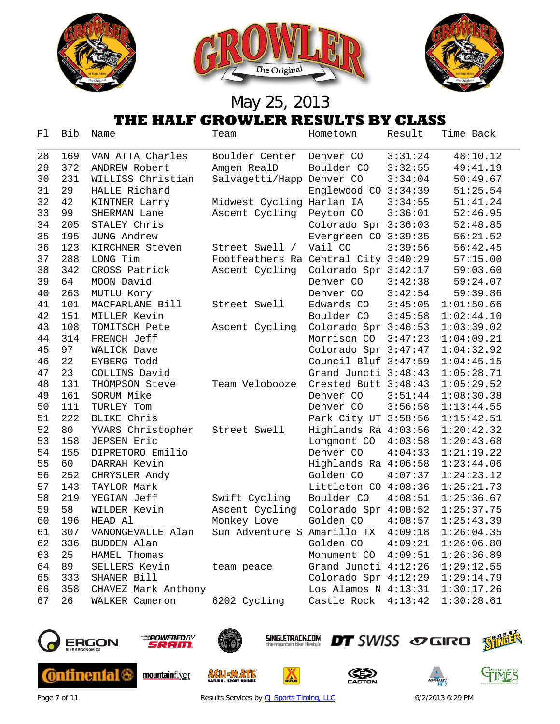

|    | THE HALF GROWLER RESULTS BY CLASS |                     |                                      |                                 |         |            |  |  |
|----|-----------------------------------|---------------------|--------------------------------------|---------------------------------|---------|------------|--|--|
| Pl | Bib                               | Name                | Team                                 | Hometown                        | Result  | Time Back  |  |  |
| 28 | 169                               | VAN ATTA Charles    | Boulder Center                       | Denver CO                       | 3:31:24 | 48:10.12   |  |  |
| 29 | 372                               | ANDREW Robert       | Amgen RealD                          | Boulder CO                      | 3:32:55 | 49:41.19   |  |  |
| 30 | 231                               | WILLISS Christian   | Salvagetti/Happ Denver CO            |                                 | 3:34:04 | 50:49.67   |  |  |
| 31 | 29                                | HALLE Richard       |                                      | Englewood CO 3:34:39            |         | 51:25.54   |  |  |
| 32 | 42                                | KINTNER Larry       | Midwest Cycling Harlan IA            |                                 | 3:34:55 | 51:41.24   |  |  |
| 33 | 99                                | SHERMAN Lane        | Ascent Cycling                       | Peyton CO                       | 3:36:01 | 52:46.95   |  |  |
| 34 | 205                               | STALEY Chris        |                                      | Colorado Spr 3:36:03            |         | 52:48.85   |  |  |
| 35 | 195                               | JUNG Andrew         |                                      | Evergreen CO 3:39:35            |         | 56:21.52   |  |  |
| 36 | 123                               | KIRCHNER Steven     | Street Swell /                       | Vail CO                         | 3:39:56 | 56:42.45   |  |  |
| 37 | 288                               | LONG Tim            | Footfeathers Ra Central City 3:40:29 |                                 |         | 57:15.00   |  |  |
| 38 | 342                               | CROSS Patrick       | Ascent Cycling                       | Colorado Spr 3:42:17            |         | 59:03.60   |  |  |
| 39 | 64                                | MOON David          |                                      | Denver CO                       | 3:42:38 | 59:24.07   |  |  |
| 40 | 263                               | MUTLU Kory          |                                      | Denver CO                       | 3:42:54 | 59:39.86   |  |  |
| 41 | 101                               | MACFARLANE Bill     | Street Swell                         | Edwards CO                      | 3:45:05 | 1:01:50.66 |  |  |
| 42 | 151                               | MILLER Kevin        |                                      | Boulder CO                      | 3:45:58 | 1:02:44.10 |  |  |
| 43 | 108                               | TOMITSCH Pete       | Ascent Cycling                       | Colorado Spr 3:46:53            |         | 1:03:39.02 |  |  |
| 44 | 314                               | FRENCH Jeff         |                                      | Morrison CO 3:47:23             |         | 1:04:09.21 |  |  |
| 45 | 97                                | WALICK Dave         |                                      | Colorado Spr 3:47:47            |         | 1:04:32.92 |  |  |
| 46 | 22                                | <b>EYBERG Todd</b>  |                                      | Council Bluf 3:47:59            |         | 1:04:45.15 |  |  |
| 47 | 23                                | COLLINS David       |                                      | Grand Juncti 3:48:43            |         | 1:05:28.71 |  |  |
| 48 | 131                               | THOMPSON Steve      | Team Velobooze                       | Crested Butt 3:48:43            |         | 1:05:29.52 |  |  |
| 49 | 161                               | SORUM Mike          |                                      | Denver CO                       | 3:51:44 | 1:08:30.38 |  |  |
| 50 | 111                               | TURLEY Tom          |                                      | Denver CO                       | 3:56:58 | 1:13:44.55 |  |  |
| 51 | 222                               | BLIKE Chris         |                                      | Park City UT 3:58:56            |         | 1:15:42.51 |  |  |
| 52 | 80                                | YVARS Christopher   | Street Swell                         | Highlands Ra 4:03:56            |         | 1:20:42.32 |  |  |
| 53 | 158                               | JEPSEN Eric         |                                      | Longmont CO                     | 4:03:58 | 1:20:43.68 |  |  |
| 54 | 155                               | DIPRETORO Emilio    |                                      | Denver CO                       | 4:04:33 | 1:21:19.22 |  |  |
| 55 | 60                                | DARRAH Kevin        |                                      | Highlands Ra 4:06:58            |         | 1:23:44.06 |  |  |
| 56 | 252                               | CHRYSLER Andy       |                                      | Golden CO                       | 4:07:37 | 1:24:23.12 |  |  |
| 57 | 143                               | TAYLOR Mark         |                                      | Littleton CO 4:08:36            |         | 1:25:21.73 |  |  |
| 58 | 219                               | YEGIAN Jeff         | Swift Cycling                        | Boulder CO                      | 4:08:51 | 1:25:36.67 |  |  |
| 59 | 58                                | WILDER Kevin        | Ascent Cycling                       | Colorado Spr 4:08:52            |         | 1:25:37.75 |  |  |
| 60 | 196                               | HEAD Al             | Monkey Love                          | Golden CO                       | 4:08:57 | 1:25:43.39 |  |  |
| 61 | 307                               | VANONGEVALLE Alan   | Sun Adventure S Amarillo TX          |                                 | 4:09:18 | 1:26:04.35 |  |  |
| 62 | 336                               | BUDDEN Alan         |                                      | Golden CO                       | 4:09:21 | 1:26:06.80 |  |  |
| 63 | 25                                | HAMEL Thomas        |                                      | Monument CO                     | 4:09:51 | 1:26:36.89 |  |  |
| 64 | 89                                | SELLERS Kevin       | team peace                           | Grand Juncti 4:12:26 1:29:12.55 |         |            |  |  |
| 65 | 333                               | SHANER Bill         |                                      | Colorado Spr 4:12:29 1:29:14.79 |         |            |  |  |
| 66 | 358                               | CHAVEZ Mark Anthony |                                      | Los Alamos N 4:13:31 1:30:17.26 |         |            |  |  |
| 67 | 26                                | WALKER Cameron      | 6202 Cycling                         | Castle Rock 4:13:42 1:30:28.61  |         |            |  |  |



**Continental &** 



mountainflyer



**ACLIEMATE** 

**SINGLETRACK.COM** 

厸





Page 7 of 11 **Results Services by [CJ Sports Timing, LLC](http://www.cjtiming.com/)** 6/2/2013 6:29 PM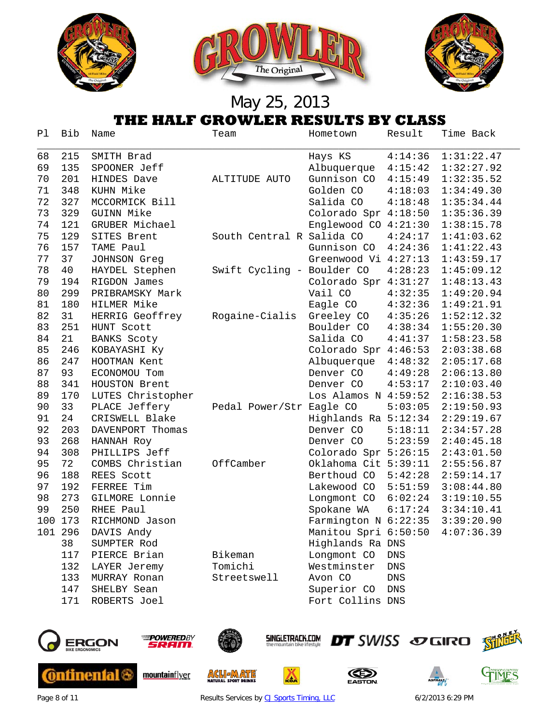

| Ρl      | Bib | Name               | Team                       | Hometown               | Result             | Time Back  |
|---------|-----|--------------------|----------------------------|------------------------|--------------------|------------|
| 68      | 215 | SMITH Brad         |                            | Hays KS                | 4:14:36            | 1:31:22.47 |
| 69      | 135 | SPOONER Jeff       |                            | Albuquerque            | 4:15:42            | 1:32:27.92 |
| 70      | 201 | HINDES Dave        | ALTITUDE AUTO              | Gunnison CO            | 4:15:49            | 1:32:35.52 |
| 71      | 348 | KUHN Mike          |                            | Golden CO              | 4:18:03            | 1:34:49.30 |
| 72      | 327 | MCCORMICK Bill     |                            | Salida CO              | 4:18:48            | 1:35:34.44 |
| 73      | 329 | GUINN Mike         |                            | Colorado Spr 4:18:50   |                    | 1:35:36.39 |
| 74      | 121 | GRUBER Michael     |                            | Englewood CO 4:21:30   |                    | 1:38:15.78 |
| 75      | 129 | SITES Brent        | South Central R Salida CO  |                        | 4:24:17            | 1:41:03.62 |
| 76      | 157 | TAME Paul          |                            | Gunnison CO            | 4:24:36            | 1:41:22.43 |
| 77      | 37  | JOHNSON Greg       |                            | Greenwood Vi 4:27:13   |                    | 1:43:59.17 |
| 78      | 40  | HAYDEL Stephen     | Swift Cycling - Boulder CO |                        | 4:28:23            | 1:45:09.12 |
| 79      | 194 | RIGDON James       |                            | Colorado Spr 4:31:27   |                    | 1:48:13.43 |
| 80      | 299 | PRIBRAMSKY Mark    |                            | Vail CO                | 4:32:35            | 1:49:20.94 |
| 81      | 180 | HILMER Mike        |                            | Eagle CO               | 4:32:36            | 1:49:21.91 |
| 82      | 31  | HERRIG Geoffrey    | Rogaine-Cialis             | Greeley CO             | 4:35:26            | 1:52:12.32 |
| 83      | 251 | HUNT Scott         |                            | Boulder CO             | 4:38:34            | 1:55:20.30 |
| 84      | 21  | <b>BANKS Scoty</b> |                            | Salida CO              | 4:41:37            | 1:58:23.58 |
| 85      | 246 | KOBAYASHI Ky       |                            | Colorado Spr 4:46:53   |                    | 2:03:38.68 |
| 86      | 247 | HOOTMAN Kent       |                            | Albuquerque            | 4:48:32            | 2:05:17.68 |
| 87      | 93  | ECONOMOU Tom       |                            | Denver CO              | 4:49:28            | 2:06:13.80 |
| 88      | 341 | HOUSTON Brent      |                            | Denver CO              | 4:53:17            | 2:10:03.40 |
| 89      | 170 | LUTES Christopher  |                            | Los Alamos N $4:59:52$ |                    | 2:16:38.53 |
| 90      | 33  | PLACE Jeffery      | Pedal Power/Str Eagle CO   |                        | 5:03:05            | 2:19:50.93 |
| 91      | 24  | CRISWELL Blake     |                            | Highlands Ra 5:12:34   |                    | 2:29:19.67 |
| 92      | 203 | DAVENPORT Thomas   |                            | Denver CO              | 5:18:11            | 2:34:57.28 |
| 93      | 268 | HANNAH Roy         |                            | Denver CO              | 5:23:59            | 2:40:45.18 |
| 94      | 308 | PHILLIPS Jeff      |                            | Colorado Spr 5:26:15   |                    | 2:43:01.50 |
| 95      | 72  | COMBS Christian    | OffCamber                  | Oklahoma Cit 5:39:11   |                    | 2:55:56.87 |
| 96      | 188 | REES Scott         |                            | Berthoud CO            | 5:42:28            | 2:59:14.17 |
| 97      | 192 | FERREE Tim         |                            | Lakewood CO            | 5:51:59            | 3:08:44.80 |
| 98      | 273 | GILMORE Lonnie     |                            | Longmont CO            | 6:02:24            | 3:19:10.55 |
| 99      | 250 | RHEE Paul          |                            | Spokane WA             | 6:17:24            | 3:34:10.41 |
| 100 173 |     | RICHMOND Jason     |                            | Farmington N 6:22:35   |                    | 3:39:20.90 |
| 101 296 |     | DAVIS Andy         |                            | Manitou Spri 6:50:50   |                    | 4:07:36.39 |
|         | 38  | SUMPTER Rod        |                            | Highlands Ra DNS       |                    |            |
|         | 117 | PIERCE Brian       | Bikeman                    | Longmont CO            | ${\rm DNS}$        |            |
|         | 132 | LAYER Jeremy       | Tomichi                    | Westminster            | DNS                |            |
|         | 133 | MURRAY Ronan       | Streetswell                | Avon CO                | $\mathop{\rm DNS}$ |            |
|         | 147 | SHELBY Sean        |                            | Superior CO            | DNS                |            |
|         | 171 | ROBERTS Joel       |                            | Fort Collins DNS       |                    |            |



**Continental &** 



mountainflyer



**ACLIEMATE** 

**SINGLETRACK.COM** 

厸





Page 8 of 11 **Results Services by [CJ Sports Timing, LLC](http://www.cjtiming.com/)** 6/2/2013 6:29 PM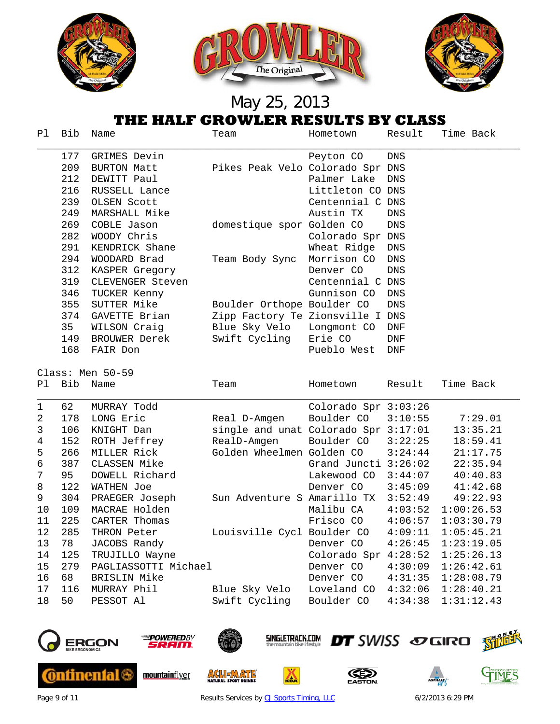

|              | THE HALF GROWLER RESULTS BY CLASS |                      |                                      |                      |                    |            |  |  |
|--------------|-----------------------------------|----------------------|--------------------------------------|----------------------|--------------------|------------|--|--|
| Pl.          | Bib                               | Name                 | Team                                 | Hometown             | Result             | Time Back  |  |  |
|              | 177                               | GRIMES Devin         |                                      | Peyton CO            | DNS                |            |  |  |
|              | 209                               | <b>BURTON Matt</b>   | Pikes Peak Velo Colorado Spr DNS     |                      |                    |            |  |  |
|              | 212                               | DEWITT Paul          |                                      | Palmer Lake          | DNS                |            |  |  |
|              | 216                               | RUSSELL Lance        |                                      | Littleton CO DNS     |                    |            |  |  |
|              | 239                               | OLSEN Scott          |                                      | Centennial C DNS     |                    |            |  |  |
|              | 249                               | MARSHALL Mike        |                                      | Austin TX            | DNS                |            |  |  |
|              | 269                               | COBLE Jason          | domestique spor Golden CO            |                      | ${\rm DNS}$        |            |  |  |
|              | 282                               | WOODY Chris          |                                      | Colorado Spr DNS     |                    |            |  |  |
|              | 291                               | KENDRICK Shane       |                                      | Wheat Ridge          | DNS                |            |  |  |
|              | 294                               | WOODARD Brad         | Team Body Sync                       | Morrison CO          | $\mathop{\rm DNS}$ |            |  |  |
|              | 312                               | KASPER Gregory       |                                      | Denver CO            | $\mathop{\rm DNS}$ |            |  |  |
|              | 319                               | CLEVENGER Steven     |                                      | Centennial C DNS     |                    |            |  |  |
|              | 346                               | TUCKER Kenny         |                                      | Gunnison CO          | $\mathop{\rm DNS}$ |            |  |  |
|              | 355                               | SUTTER Mike          | Boulder Orthope Boulder CO           |                      | $\mathop{\rm DNS}$ |            |  |  |
|              | 374                               | GAVETTE Brian        | Zipp Factory Te Zionsville I DNS     |                      |                    |            |  |  |
|              | 35                                | WILSON Craig         | Blue Sky Velo                        | Longmont CO          | <b>DNF</b>         |            |  |  |
|              | 149                               | BROUWER Derek        | Swift Cycling                        | Erie CO              | <b>DNF</b>         |            |  |  |
|              | 168                               | FAIR Don             |                                      | Pueblo West          | DNF                |            |  |  |
|              |                                   | Class: Men 50-59     |                                      |                      |                    |            |  |  |
| Pl           | Bib                               | Name                 | Team                                 | Hometown             | Result             | Time Back  |  |  |
| $\mathbf{1}$ | 62                                | MURRAY Todd          |                                      | Colorado Spr 3:03:26 |                    |            |  |  |
| 2            | 178                               | LONG Eric            | Real D-Amgen                         | Boulder CO           | 3:10:55            | 7:29.01    |  |  |
| 3            | 106                               | KNIGHT Dan           | single and unat Colorado Spr 3:17:01 |                      |                    | 13:35.21   |  |  |
| 4            | 152                               | ROTH Jeffrey         | RealD-Amgen                          | Boulder CO           | 3:22:25            | 18:59.41   |  |  |
| 5            | 266                               | MILLER Rick          | Golden Wheelmen Golden CO            |                      | 3:24:44            | 21:17.75   |  |  |
| 6            | 387                               | CLASSEN Mike         |                                      | Grand Juncti 3:26:02 |                    | 22:35.94   |  |  |
| 7            | 95                                | DOWELL Richard       |                                      | Lakewood CO 3:44:07  |                    | 40:40.83   |  |  |
| 8            | 122                               | WATHEN Joe           |                                      | Denver CO            | 3:45:09            | 41:42.68   |  |  |
| 9            | 304                               | PRAEGER Joseph       | Sun Adventure S Amarillo TX          |                      | 3:52:49            | 49:22.93   |  |  |
| 10           | 109                               | MACRAE Holden        |                                      | Malibu CA            | 4:03:52            | 1:00:26.53 |  |  |
| 11           |                                   |                      |                                      |                      |                    |            |  |  |
|              | 225                               | CARTER Thomas        |                                      | Frisco CO            | 4:06:57            | 1:03:30.79 |  |  |
| 12           | 285                               | THRON Peter          | Louisville Cycl Boulder CO           |                      | 4:09:11            | 1:05:45.21 |  |  |
| 13           | 78                                | JACOBS Randy         |                                      | Denver CO            | 4:26:45            | 1:23:19.05 |  |  |
| 14           | 125                               | TRUJILLO Wayne       |                                      | Colorado Spr 4:28:52 |                    | 1:25:26.13 |  |  |
| 15           | 279                               | PAGLIASSOTTI Michael |                                      | Denver CO            | 4:30:09            | 1:26:42.61 |  |  |
| 16           | 68                                | BRISLIN Mike         |                                      | Denver CO            | 4:31:35            | 1:28:08.79 |  |  |
| $17$         | 116                               | MURRAY Phil          | Blue Sky Velo<br>Swift Cycling       | Loveland CO          | 4:32:06            | 1:28:40.21 |  |  |



**Continental &** 



mountainflyer



**ACLIEMATE** 

**SINGLETRACK.COM** 

厸





Page 9 of 11 **Results Services by [CJ Sports Timing, LLC](http://www.cjtiming.com/)** 6/2/2013 6:29 PM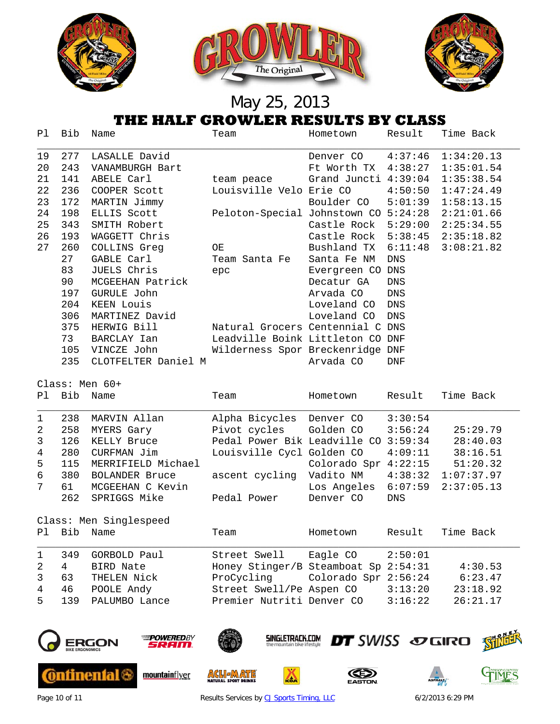

| Ρl           | Bib | Name                | Team                                            | Hometown             | Result     | Time Back                  |
|--------------|-----|---------------------|-------------------------------------------------|----------------------|------------|----------------------------|
| 19           | 277 | LASALLE David       |                                                 | Denver CO            | 4:37:46    | 1:34:20.13                 |
| 20           | 243 | VANAMBURGH Bart     |                                                 | Ft Worth TX          | 4:38:27    | 1:35:01.54                 |
| 21           | 141 | ABELE Carl          | team peace                                      | Grand Juncti 4:39:04 |            | 1:35:38.54                 |
| 22           | 236 | COOPER Scott        | Louisville Velo Erie CO                         |                      |            | $4:50:50 \quad 1:47:24.49$ |
| 23           | 172 | MARTIN Jimmy        |                                                 | Boulder CO           |            | $5:01:39$ $1:58:13.15$     |
| 24           | 198 | ELLIS Scott         | Peloton-Special Johnstown CO 5:24:28 2:21:01.66 |                      |            |                            |
| 25           | 343 | SMITH Robert        |                                                 | Castle Rock 5:29:00  |            | 2:25:34.55                 |
| 26           | 193 | WAGGETT Chris       |                                                 | Castle Rock          |            | $5:38:45$ $2:35:18.82$     |
| 27           | 260 | COLLINS Greg        | OE                                              | Bushland TX          | 6:11:48    | 3:08:21.82                 |
|              | 27  | GABLE Carl          | Team Santa Fe                                   | Santa Fe NM          | <b>DNS</b> |                            |
|              | 83  | JUELS Chris         | epc                                             | Evergreen CO         | DNS        |                            |
|              | 90  | MCGEEHAN Patrick    |                                                 | Decatur GA           | DNS        |                            |
|              | 197 | GURULE John         |                                                 | Arvada CO            | DNS        |                            |
|              | 204 | KEEN Louis          |                                                 | Loveland CO          | <b>DNS</b> |                            |
|              | 306 | MARTINEZ David      |                                                 | Loveland CO          | <b>DNS</b> |                            |
|              | 375 | HERWIG Bill         | Natural Grocers Centennial C                    |                      | DNS        |                            |
|              | 73  | BARCLAY Ian         | Leadville Boink Littleton CO                    |                      | <b>DNF</b> |                            |
|              | 105 | VINCZE John         | Wilderness Spor Breckenridge DNF                |                      |            |                            |
|              | 235 | CLOTFELTER Daniel M |                                                 | Arvada CO            | <b>DNF</b> |                            |
|              |     | Class: Men 60+      |                                                 |                      |            |                            |
| P1           | Bib | Name                | Team                                            | Hometown             | Result     | Time Back                  |
| $\mathbf{1}$ | 238 | MARVIN Allan        | Alpha Bicycles                                  | Denver CO            | 3:30:54    |                            |

|                | 349 | GORBOLD Paul           | Street Swell                         | Eagle CO             | 2:50:01 |            |
|----------------|-----|------------------------|--------------------------------------|----------------------|---------|------------|
| P1             | Bib | Name                   | Team                                 | Hometown             | Result  | Time Back  |
|                |     | Class: Men Singlespeed |                                      |                      |         |            |
|                | 262 | SPRIGGS Mike           | Pedal Power                          | Denver CO            | DNS     |            |
| $7\phantom{0}$ | 61  | MCGEEHAN C Kevin       |                                      | Los Angeles 6:07:59  |         | 2:37:05.13 |
| 6              | 380 | <b>BOLANDER Bruce</b>  | ascent cycling                       | Vadito NM            | 4:38:32 | 1:07:37.97 |
| 5              | 115 | MERRIFIELD Michael     |                                      | Colorado Spr 4:22:15 |         | 51:20.32   |
| 4              | 280 | CURFMAN Jim            | Louisville Cycl Golden CO            |                      | 4:09:11 | 38:16.51   |
| 3              | 126 | KELLY Bruce            | Pedal Power Bik Leadville CO 3:59:34 |                      |         | 28:40.03   |
| 2              | 258 | MYERS Gary             | Pivot cycles                         | Golden CO            | 3:56:24 | 25:29.79   |

|      | 1 349 GORBOLD Paul  | Street Swell Eagle CO 2:50:01        |         |          |
|------|---------------------|--------------------------------------|---------|----------|
|      | 2 4 BIRD Nate       | Honey Stinger/B Steamboat Sp 2:54:31 |         | 4:30.53  |
| 3 63 | THELEN Nick         | ProCycling Colorado Spr 2:56:24      |         | 6:23.47  |
|      | 4 46 POOLE Andy     | Street Swell/Pe Aspen CO             | 3:13:20 | 23:18.92 |
|      | 5 139 PALUMBO Lance | Premier Nutriti Denver CO            | 3:16:22 | 26:21.17 |
|      |                     |                                      |         |          |

**SINGLETRACK.COM** 

٨







**Ontinental &** mountainflyer







**DT** SWISS SOGIRO SHILL



Page 10 of 11 **Results Services by [CJ Sports Timing, LLC](http://www.cjtiming.com/)** 6/2/2013 6:29 PM